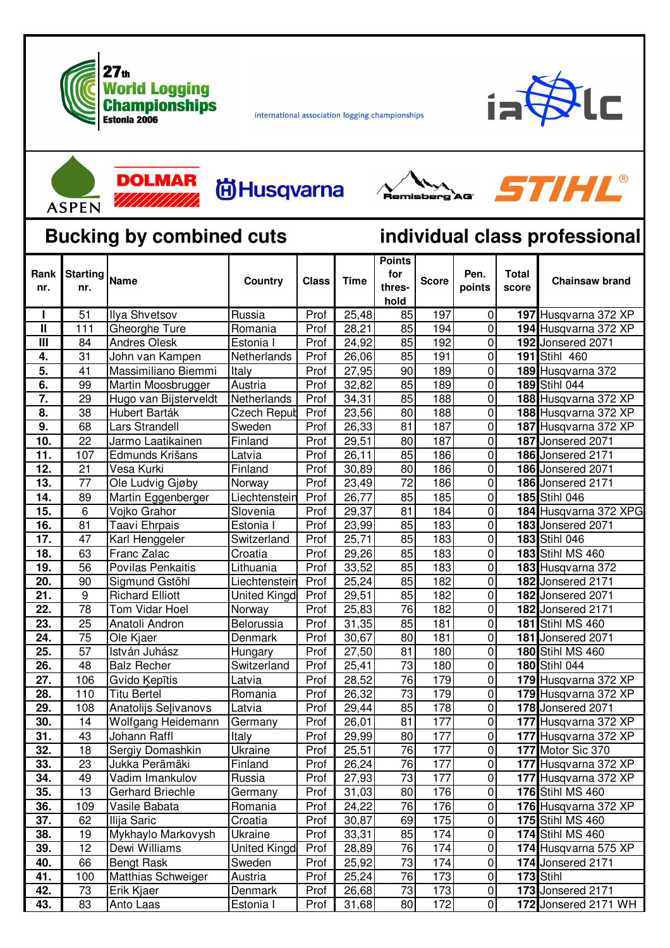

international association logging championships



STIHL®



**DOLMAR 尚Husqvarna** 777777777777



## **Bucking by combined cuts individual class professional**

| Rank<br>nr.             | nr.             |                        | Country             | <b>Class</b> | <b>Time</b> | <b>Points</b><br>for<br>thres-<br>hold | <b>Score</b> | Pen.<br>points | <b>Total</b><br>score | <b>Chainsaw brand</b>   |
|-------------------------|-----------------|------------------------|---------------------|--------------|-------------|----------------------------------------|--------------|----------------|-----------------------|-------------------------|
| п                       | 51              | <b>Ilya Shvetsov</b>   | Russia              | Prof         | 25,48       | 85                                     | 197          | 0              |                       | 197 Husqvarna 372 XP    |
| $\mathbf{I}$            | 111             | Gheorghe Ture          | Romania             | Prof         | 28,21       | 85                                     | 194          | $\pmb{0}$      |                       | 194 Husqvarna 372 XP    |
| $\overline{\mathbf{m}}$ | 84              | <b>Andres Olesk</b>    | Estonia I           | Prof         | 24,92       | 85                                     | 192          | $\pmb{0}$      |                       | 192 Jonsered 2071       |
| 4.                      | 31              | John van Kampen        | Netherlands         | Prof         | 26,06       | 85                                     | 191          | $\pmb{0}$      |                       | 191 Stihl 460           |
| 5.                      | 41              | Massimiliano Biemmi    | Italy               | Prof         | 27,95       | 90                                     | 189          | $\pmb{0}$      |                       | 189 Husqvarna 372       |
| 6.                      | 99              | Martin Moosbrugger     | Austria             | Prof         | 32,82       | 85                                     | 189          | $\pmb{0}$      |                       | 189 Stihl 044           |
| 7.                      | 29              | Hugo van Bijsterveldt  | Netherlands         | Prof         | 34,31       | 85                                     | 188          | $\pmb{0}$      |                       | 188 Husqvarna 372 XP    |
| 8.                      | 38              | Hubert Barták          | <b>Czech Reput</b>  | Prof         | 23,56       | 80                                     | 188          | $\pmb{0}$      |                       | 188 Husqvarna 372 XP    |
| 9.                      | 68              | Lars Strandell         | Sweden              | Prof         | 26,33       | 81                                     | 187          | $\pmb{0}$      |                       | 187 Husqvarna 372 XP    |
| 10.                     | 22              | Jarmo Laatikainen      | Finland             | Prof         | 29,51       | 80                                     | 187          | $\pmb{0}$      |                       | 187 Jonsered 2071       |
| 11.                     | 107             | Edmunds Krišans        | Latvia              | Prof         | 26,11       | 85                                     | 186          | $\overline{0}$ |                       | 186 Jonsered 2171       |
| 12.                     | 21              | Vesa Kurki             | Finland             | Prof         | 30,89       | 80                                     | 186          | $\pmb{0}$      |                       | 186 Jonsered 2071       |
| 13.                     | 77              | Ole Ludvig Gjøby       | Norway              | Prof         | 23,49       | $\overline{72}$                        | 186          | $\overline{0}$ |                       | 186 Jonsered 2171       |
| 14.                     | 89              | Martin Eggenberger     | Liechtenstein       | Prof         | 26,77       | 85                                     | 185          | $\pmb{0}$      |                       | 185 Stihl 046           |
| 15.                     | 6               | Vojko Grahor           | Slovenia            | Prof         | 29,37       | 81                                     | 184          | $\pmb{0}$      |                       | 184 Husqvarna 372 XPG   |
| 16.                     | 81              | Taavi Ehrpais          | Estonia I           | Prof         | 23,99       | 85                                     | 183          | $\pmb{0}$      |                       | 183 Jonsered 2071       |
| 17.                     | 47              | Karl Henggeler         | Switzerland         | Prof         | 25,71       | 85                                     | 183          | $\overline{0}$ |                       | 183 Stihl 046           |
| 18.                     | 63              | Franc Zalac            | Croatia             | Prof         | 29,26       | 85                                     | 183          | $\pmb{0}$      |                       | 183 Stihl MS 460        |
| 19.                     | 56              | Povilas Penkaitis      | Lithuania           | Prof         | 33,52       | 85                                     | 183          | $\pmb{0}$      |                       | 183 Husqvarna 372       |
| 20.                     | 90              | Sigmund Gstöhl         | Liechtenstein       | Prof         | 25,24       | 85                                     | 182          | $\overline{0}$ |                       | 182 Jonsered 2171       |
| 21.                     | $\overline{9}$  | <b>Richard Elliott</b> | <b>United Kingd</b> | Prof         | 29,51       | 85                                     | 182          | $\pmb{0}$      |                       | 182 Jonsered 2071       |
| 22.                     | 78              | Tom Vidar Hoel         | Norway              | Prof         | 25,83       | 76                                     | 182          | $\pmb{0}$      |                       | 182 Jonsered 2171       |
| 23.                     | 25              | Anatoli Andron         | Belorussia          | Prof         | 31,35       | 85                                     | 181          | $\pmb{0}$      |                       | 181 Stihl MS 460        |
| $\overline{24}$ .       | $\overline{75}$ | Ole Kjaer              | Denmark             | Prof         | 30,67       | 80                                     | 181          | $\overline{0}$ |                       | 181 Jonsered 2071       |
| 25.                     | 57              | István Juhász          | Hungary             | Prof         | 27,50       | 81                                     | 180          | $\pmb{0}$      |                       | <b>180 Stihl MS 460</b> |
| 26.                     | 48              | <b>Balz Recher</b>     | Switzerland         | Prof         | 25,41       | 73                                     | 180          | $\pmb{0}$      |                       | 180 Stihl 044           |
| $\overline{27}$ .       | 106             | Gvido Kepītis          | Latvia              | Prof         | 28,52       | 76                                     | 179          | $\overline{0}$ |                       | 179 Husqvarna 372 XP    |
| 28.                     | 110             | <b>Titu Bertel</b>     | Romania             | Prof         | 26,32       | $\overline{73}$                        | 179          | $\pmb{0}$      |                       | 179 Husqvarna 372 XP    |
| 29.                     | 108             | Anatolijs Seļivanovs   | Latvia              | Prof         | 29,44       | 85                                     | 178          | $\pmb{0}$      |                       | 178 Jonsered 2071       |
| 30.                     | 14              | Wolfgang Heidemann     | Germany             | Prof         | 26,01       | 81                                     | 177          | $\pmb{0}$      |                       | 177 Husqvarna 372 XP    |
| 31.                     | 43              | Johann Raffl           | Italy               | Prof         | 29,99       | 80                                     | 177          | $\pmb{0}$      |                       | 177 Husqvarna 372 XP    |
| 32.                     | 18              | Sergiy Domashkin       | Ukraine             | Prof         | 25,51       | 76                                     | 177          | $\pmb{0}$      |                       | 177 Motor Sic 370       |
| 33.                     | 23              | Jukka Perämäki         | Finland             | Prof         | 26,24       | 76                                     | 177          | $\pmb{0}$      |                       | 177 Husqvarna 372 XP    |
| 34.                     | 49              | Vadim Imankulov        | Russia              | Prof         | 27,93       | 73                                     | 177          | $\pmb{0}$      |                       | 177 Husqvarna 372 XP    |
| 35.                     | 13              | Gerhard Briechle       | Germany             | Prof         | 31,03       | 80                                     | 176          | $\pmb{0}$      |                       | 176 Stihl MS 460        |
| 36.                     | 109             | Vasile Babata          | Romania             | Prof         | 24,22       | 76                                     | 176          | $\pmb{0}$      |                       | 176 Husqvarna 372 XP    |
| 37.                     | 62              | Ilija Saric            | Croatia             | Prof         | 30,87       | 69                                     | 175          | $\pmb{0}$      |                       | 175 Stihl MS 460        |
| 38.                     | 19              | Mykhaylo Markovysh     | Ukraine             | Prof         | 33,31       | 85                                     | 174          | $\pmb{0}$      |                       | <b>174 Stihl MS 460</b> |
| 39.                     | 12              | Dewi Williams          | United Kingd        | Prof         | 28,89       | 76                                     | 174          | $\pmb{0}$      |                       | 174 Husqvarna 575 XP    |
| 40.                     | 66              | <b>Bengt Rask</b>      | Sweden              | Prof         | 25,92       | 73                                     | 174          | $\pmb{0}$      |                       | 174 Jonsered 2171       |
| 41.                     | 100             | Matthias Schweiger     | Austria             | Prof         | 25,24       | 76                                     | 173          | $\pmb{0}$      |                       | 173 Stihl               |
| 42.                     | 73              | Erik Kjaer             | Denmark             | Prof         | 26,68       | 73                                     | 173          | $\pmb{0}$      |                       | 173 Jonsered 2171       |
| 43.                     | 83              | Anto Laas              | Estonia I           | Prof         | 31,68       | 80                                     | 172          | $\overline{0}$ |                       | 172 Jonsered 2171 WH    |